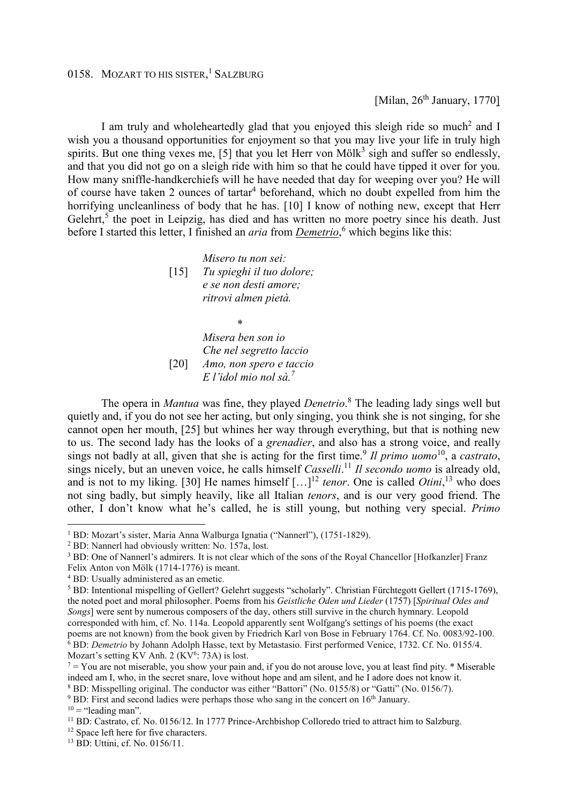[Milan,  $26<sup>th</sup>$  January, 1770]

I am truly and wholeheartedly glad that you enjoyed this sleigh ride so much<sup>2</sup> and I wish you a thousand opportunities for enjoyment so that you may live your life in truly high spirits. But one thing vexes me, [5] that you let Herr von Möl $k^3$  sigh and suffer so endlessly, and that you did not go on a sleigh ride with him so that he could have tipped it over for you. How many sniffle-handkerchiefs will he have needed that day for weeping over you? He will of course have taken 2 ounces of tartar<sup>4</sup> beforehand, which no doubt expelled from him the horrifying uncleanliness of body that he has. [10] I know of nothing new, except that Herr Gelehrt,<sup>5</sup> the poet in Leipzig, has died and has written no more poetry since his death. Just before I started this letter, I finished an *aria* from *Demetrio*,<sup>6</sup> which begins like this:

> *Misero tu non sei:*  [15] *Tu spieghi il tuo dolore; e se non desti amore; ritrovi almen pietà.*

 *\**  $\frac{1}{2}$  **\***  $\frac{1}{2}$  **\***  $\frac{1}{2}$  **\***  $\frac{1}{2}$  **\***  $\frac{1}{2}$  **\***  $\frac{1}{2}$  **\***  $\frac{1}{2}$  **\***  $\frac{1}{2}$  **\***  $\frac{1}{2}$  **\***  $\frac{1}{2}$  **\***  $\frac{1}{2}$  **\***  $\frac{1}{2}$  **\***  $\frac{1}{2}$  **\***  $\frac{1}{2}$  **\***  $\frac{1}{2}$  **\***  $\frac{1$  *Misera ben son io Che nel segretto laccio* [20] *Amo, non spero e taccio E l'idol mio nol sà.<sup>7</sup>* 

 The opera in *Mantua* was fine, they played *Denetrio*. 8 The leading lady sings well but quietly and, if you do not see her acting, but only singing, you think she is not singing, for she cannot open her mouth, [25] but whines her way through everything, but that is nothing new to us. The second lady has the looks of a *grenadier*, and also has a strong voice, and really sings not badly at all, given that she is acting for the first time.<sup>9</sup> *Il primo uomo*<sup>10</sup>, a *castrato*, sings nicely, but an uneven voice, he calls himself *Casselli*. <sup>11</sup> *Il secondo uomo* is already old, and is not to my liking. [30] He names himself  $[...]^{12}$  *tenor*. One is called *Otini*,<sup>13</sup> who does not sing badly, but simply heavily, like all Italian *tenors*, and is our very good friend. The other, I don't know what he's called, he is still young, but nothing very special. *Primo*

<sup>8</sup> BD: Misspelling original. The conductor was either "Battori" (No. 0155/8) or "Gatti" (No. 0156/7).

 $\overline{a}$ 

<sup>1</sup> BD: Mozart's sister, Maria Anna Walburga Ignatia ("Nannerl"), (1751-1829).

<sup>2</sup> BD: Nannerl had obviously written: No. 157a, lost.

<sup>&</sup>lt;sup>3</sup> BD: One of Nannerl's admirers. It is not clear which of the sons of the Royal Chancellor [Hofkanzler] Franz

Felix Anton von Mölk (1714-1776) is meant.

<sup>4</sup> BD: Usually administered as an emetic.

<sup>&</sup>lt;sup>5</sup> BD: Intentional mispelling of Gellert? Gelehrt suggests "scholarly". Christian Fürchtegott Gellert (1715-1769), the noted poet and moral philosopher. Poems from his *Geistliche Oden und Lieder* (1757) [*Spiritual Odes and Songs*] were sent by numerous composers of the day, others still survive in the church hymnary. Leopold corresponded with him, cf. No. 114a. Leopold apparently sent Wolfgang's settings of his poems (the exact poems are not known) from the book given by Friedrich Karl von Bose in February 1764. Cf. No. 0083/92-100. <sup>6</sup> BD: *Demetrio* by Johann Adolph Hasse, text by Metastasio. First performed Venice, 1732. Cf. No. 0155/4. Mozart's setting KV Anh. 2 (KV<sup>6</sup>: 73A) is lost.

 $^7$  = You are not miserable, you show your pain and, if you do not arouse love, you at least find pity.  $*$  Miserable indeed am I, who, in the secret snare, love without hope and am silent, and he I adore does not know it.

 $9$  BD: First and second ladies were perhaps those who sang in the concert on  $16<sup>th</sup>$  January.

 $10 =$  "leading man".

<sup>&</sup>lt;sup>11</sup> BD: Castrato, cf. No. 0156/12. In 1777 Prince-Archbishop Colloredo tried to attract him to Salzburg.

<sup>&</sup>lt;sup>12</sup> Space left here for five characters.

<sup>13</sup> BD: Uttini, cf. No. 0156/11.